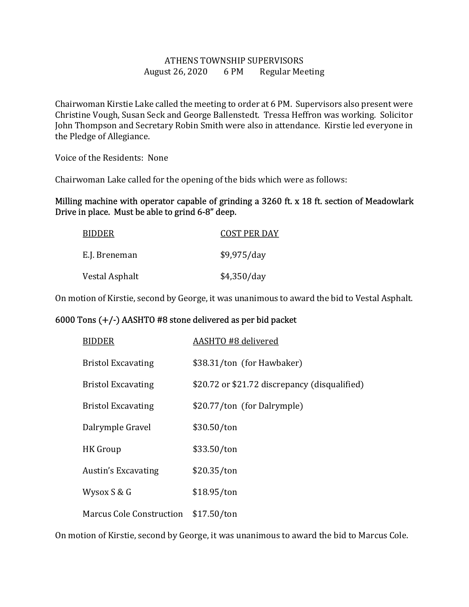## ATHENS TOWNSHIP SUPERVISORS August 26, 2020 6 PM Regular Meeting

Chairwoman Kirstie Lake called the meeting to order at 6 PM. Supervisors also present were Christine Vough, Susan Seck and George Ballenstedt. Tressa Heffron was working. Solicitor John Thompson and Secretary Robin Smith were also in attendance. Kirstie led everyone in the Pledge of Allegiance.

Voice of the Residents: None

Chairwoman Lake called for the opening of the bids which were as follows:

## Milling machine with operator capable of grinding a 3260 ft. x 18 ft. section of Meadowlark Drive in place. Must be able to grind 6-8" deep.

| <b>BIDDER</b>  | <b>COST PER DAY</b> |
|----------------|---------------------|
| E.J. Breneman  | \$9,975/day         |
| Vestal Asphalt | \$4,350/day         |

On motion of Kirstie, second by George, it was unanimous to award the bid to Vestal Asphalt.

## 6000 Tons (+/-) AASHTO #8 stone delivered as per bid packet

| <b>BIDDER</b>                   | AASHTO #8 delivered                           |
|---------------------------------|-----------------------------------------------|
| <b>Bristol Excavating</b>       | \$38.31/ton (for Hawbaker)                    |
| <b>Bristol Excavating</b>       | \$20.72 or \$21.72 discrepancy (disqualified) |
| <b>Bristol Excavating</b>       | \$20.77/ton (for Dalrymple)                   |
| Dalrymple Gravel                | \$30.50/ton                                   |
| HK Group                        | \$33.50/ton                                   |
| Austin's Excavating             | \$20.35/ton                                   |
| Wysox S & G                     | \$18.95/ton                                   |
| <b>Marcus Cole Construction</b> | \$17.50/ton                                   |

On motion of Kirstie, second by George, it was unanimous to award the bid to Marcus Cole.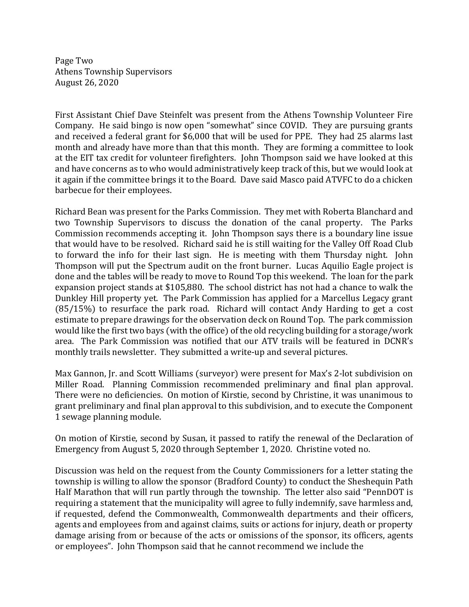Page Two Athens Township Supervisors August 26, 2020

First Assistant Chief Dave Steinfelt was present from the Athens Township Volunteer Fire Company. He said bingo is now open "somewhat" since COVID. They are pursuing grants and received a federal grant for \$6,000 that will be used for PPE. They had 25 alarms last month and already have more than that this month. They are forming a committee to look at the EIT tax credit for volunteer firefighters. John Thompson said we have looked at this and have concerns as to who would administratively keep track of this, but we would look at it again if the committee brings it to the Board. Dave said Masco paid ATVFC to do a chicken barbecue for their employees.

Richard Bean was present for the Parks Commission. They met with Roberta Blanchard and two Township Supervisors to discuss the donation of the canal property. The Parks Commission recommends accepting it. John Thompson says there is a boundary line issue that would have to be resolved. Richard said he is still waiting for the Valley Off Road Club to forward the info for their last sign. He is meeting with them Thursday night. John Thompson will put the Spectrum audit on the front burner. Lucas Aquilio Eagle project is done and the tables will be ready to move to Round Top this weekend. The loan for the park expansion project stands at \$105,880. The school district has not had a chance to walk the Dunkley Hill property yet. The Park Commission has applied for a Marcellus Legacy grant (85/15%) to resurface the park road. Richard will contact Andy Harding to get a cost estimate to prepare drawings for the observation deck on Round Top. The park commission would like the first two bays (with the office) of the old recycling building for a storage/work area. The Park Commission was notified that our ATV trails will be featured in DCNR's monthly trails newsletter. They submitted a write-up and several pictures.

Max Gannon, Jr. and Scott Williams (surveyor) were present for Max's 2-lot subdivision on Miller Road. Planning Commission recommended preliminary and final plan approval. There were no deficiencies. On motion of Kirstie, second by Christine, it was unanimous to grant preliminary and final plan approval to this subdivision, and to execute the Component 1 sewage planning module.

On motion of Kirstie, second by Susan, it passed to ratify the renewal of the Declaration of Emergency from August 5, 2020 through September 1, 2020. Christine voted no.

Discussion was held on the request from the County Commissioners for a letter stating the township is willing to allow the sponsor (Bradford County) to conduct the Sheshequin Path Half Marathon that will run partly through the township. The letter also said "PennDOT is requiring a statement that the municipality will agree to fully indemnify, save harmless and, if requested, defend the Commonwealth, Commonwealth departments and their officers, agents and employees from and against claims, suits or actions for injury, death or property damage arising from or because of the acts or omissions of the sponsor, its officers, agents or employees". John Thompson said that he cannot recommend we include the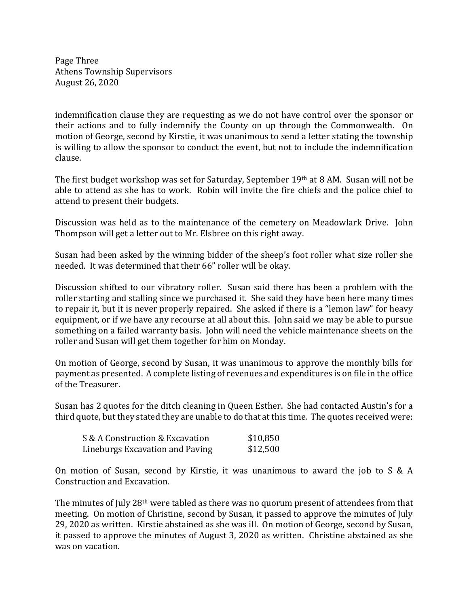Page Three Athens Township Supervisors August 26, 2020

indemnification clause they are requesting as we do not have control over the sponsor or their actions and to fully indemnify the County on up through the Commonwealth. On motion of George, second by Kirstie, it was unanimous to send a letter stating the township is willing to allow the sponsor to conduct the event, but not to include the indemnification clause.

The first budget workshop was set for Saturday, September 19th at 8 AM. Susan will not be able to attend as she has to work. Robin will invite the fire chiefs and the police chief to attend to present their budgets.

Discussion was held as to the maintenance of the cemetery on Meadowlark Drive. John Thompson will get a letter out to Mr. Elsbree on this right away.

Susan had been asked by the winning bidder of the sheep's foot roller what size roller she needed. It was determined that their 66" roller will be okay.

Discussion shifted to our vibratory roller. Susan said there has been a problem with the roller starting and stalling since we purchased it. She said they have been here many times to repair it, but it is never properly repaired. She asked if there is a "lemon law" for heavy equipment, or if we have any recourse at all about this. John said we may be able to pursue something on a failed warranty basis. John will need the vehicle maintenance sheets on the roller and Susan will get them together for him on Monday.

On motion of George, second by Susan, it was unanimous to approve the monthly bills for payment as presented. A complete listing of revenues and expenditures is on file in the office of the Treasurer.

Susan has 2 quotes for the ditch cleaning in Queen Esther. She had contacted Austin's for a third quote, but they stated they are unable to do that at this time. The quotes received were:

| S & A Construction & Excavation | \$10,850 |
|---------------------------------|----------|
| Lineburgs Excavation and Paving | \$12,500 |

On motion of Susan, second by Kirstie, it was unanimous to award the job to S & A Construction and Excavation.

The minutes of July 28th were tabled as there was no quorum present of attendees from that meeting. On motion of Christine, second by Susan, it passed to approve the minutes of July 29, 2020 as written. Kirstie abstained as she was ill. On motion of George, second by Susan, it passed to approve the minutes of August 3, 2020 as written. Christine abstained as she was on vacation.